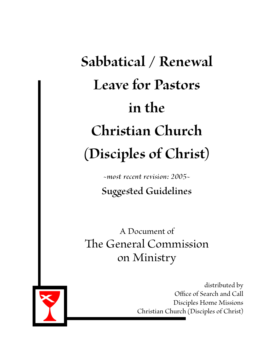# **Sabbatical / Renewal Leave for Pastors in the Christian Church (Disciples of Christ)**

*~most recent revision: 2005~*

**Suggested Guidelines**

A Document of The General Commission on Ministry



distributed by Office of Search and Call Disciples Home Missions<br>Christian Church (Disciples of Christ)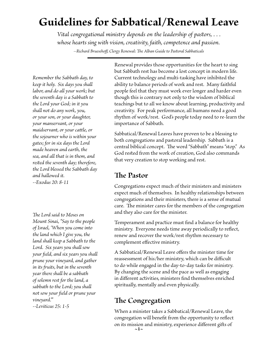# **Guidelines for Sabbatical/Renewal Leave**

*Vital congregational ministry depends on the leadership of pastors, . . . whose hearts sing with vision, creativity, faith, competence and passion. --Richard Bruesehoff, Clergy Renewal: The Alban Guide to Pastoral Sabbaticals*

*Remember the Sabbath day, to keep it holy. Six days you shall labor, and do all your work; but the seventh day is a Sabbath to the Lord your God; in it you shall not do any work, you, or your son, or your daughter, your manservant, or your maidservant, or your cattle, or the sojourner who is within your gates; for in six days the Lord made heaven and earth, the sea, and all that is in them, and rested the seventh day; therefore, the Lord blessed the Sabbath day and hallowed it. --Exodus 20: 8-11*

*The Lord said to Moses on Mount Sinai, "Say to the people of Israel, 'When you come into the land which I give you, the land shall keep a Sabbath to the Lord. Six years you shall sow your field, and six years you shall prune your vineyard, and gather in its fruits, but in the seventh year there shall be a sabbath of solemn rest for the land, a sabbath to the Lord; you shall not sow your field or prune your vineyard.'"*

*--Leviticus 25: 1-5*

Renewal provides those opportunities for the heart to sing but Sabbath rest has become a lost concept in modern life. Current technology and multi-tasking have inhibited the ability to balance periods of work and rest. Many faithful people feel that they must work ever longer and harder even though this is contrary not only to the wisdom of biblical teachings but to all we know about learning, productivity and creativity. For peak performance, all humans need a good rhythm of work/rest. God's people today need to re-learn the importance of Sabbath.

Sabbatical/Renewal Leaves have proven to be a blessing to both congregations and pastoral leadership. Sabbath is a central biblical concept. The word "Sabbath" means "stop." As God rested from the work of creation, God also commands that very creation to stop working and rest.

### **The Pastor**

Congregations expect much of their ministers and ministers expect much of themselves. In healthy relationships between congregations and their ministers, there is a sense of mutual care. The minister cares for the members of the congregation and they also care for the minister.

Temperament and practice must find a balance for healthy ministry. Everyone needs time away periodically to reflect, renew and recover the work/rest rhythm necessary to complement effective ministry.

A Sabbatical/Renewal Leave offers the minister time for reassessment of his/her ministry, which can be difficult to do while engaged in the day-to-day tasks for ministry. By changing the scene and the pace as well as engaging in different activities, ministers find themselves enriched spiritually, mentally and even physically.

# **The Congregation**

When a minister takes a Sabbatical/Renewal Leave, the congregation will benefit from the opportunity to reflect on its mission and ministry, experience different gifts of **~1~**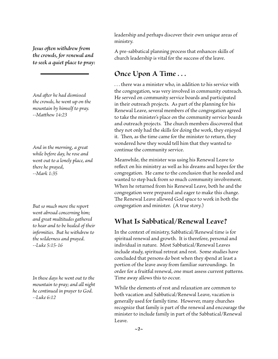*Jesus often withdrew from the crowds, for renewal and to seek a quiet place to pray:*

*And after he had dismissed the crowds, he went up on the mountain by himself to pray. --Matthew 14:23*

*And in the morning, a great while before day, he rose and went out to a lonely place, and there he prayed, --Mark 1:35*

*But so much more the report went abroad concerning him; and great multitudes gathered to hear and to be healed of their infirmities. But he withdrew to the wilderness and prayed. --Luke 5:15-16*

*In these days he went out to the mountain to pray; and all night he continued in prayer to God. --Luke 6:12*

leadership and perhaps discover their own unique areas of ministry.

A pre-sabbatical planning process that enhances skills of church leadership is vital for the success of the leave.

## **Once Upon A Time . . .**

. . . there was a minister who, in addition to his service with the congregation, was very involved in community outreach. He served on community service boards and participated in their outreach projects. As part of the planning for his Renewal Leave, several members of the congregation agreed to take the minister's place on the community service boards and outreach projects. The church members discovered that they not only had the skills for doing the work, they enjoyed it. Then, as the time came for the minister to return, they wondered how they would tell him that they wanted to continue the community service.

Meanwhile, the minister was using his Renewal Leave to reflect on his ministry as well as his dreams and hopes for the congregation. He came to the conclusion that he needed and wanted to step back from so much community involvement. When he returned from his Renewal Leave, both he and the congregation were prepared and eager to make this change. The Renewal Leave allowed God space to work in both the congregation and minister. (A true story.)

### **What Is Sabbatical/Renewal Leave?**

In the context of ministry, Sabbatical/Renewal time is for spiritual renewal and growth. It is therefore, personal and individual in nature. Most Sabbatical/Renewal Leaves include study, spiritual retreat and rest. Some studies have concluded that persons do best when they spend at least a portion of the leave away from familiar surroundings. In order for a fruitful renewal, one must assess current patterns. Time away allows this to occur.

While the elements of rest and relaxation are common to both vacation and Sabbatical/Renewal Leave, vacation is generally used for family time. However, many churches recognize that family is part of the renewal and encourage the minister to include family in part of the Sabbatical/Renewal Leave.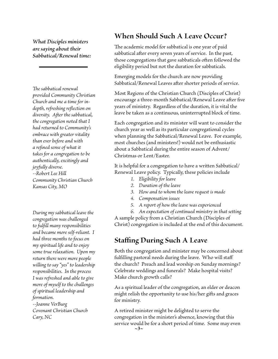*What Disciples ministers are saying about their Sabbatical/Renewal time:*

*The sabbatical renewal provided Community Christian Church and me a time for indepth, refreshing reflection on diversity. After the sabbatical, the congregation noted that I had returned to Community's embrace with greater vitality than ever before and with a refined sense of what it takes for a congregation to be authentically, excitingly and joyfully diverse. --Robert Lee Hill Community Christian Church Kansas City, MO*

*During my sabbatical leave the congregation was challenged to fulfill many responsibilities and became more self-reliant. I had three months to focus on my spiritual life and to enjoy some true relaxation. Upon my return there were more people willing to say "yes" to leadership responsibilities. In the process I was refreshed and able to give more of myself to the challenges of spiritual leadership and formation. --Joanne VerBurg Covenant Christian Church Cary, NC*

### **When Should Such A Leave Occur?**

The academic model for sabbatical is one year of paid sabbatical after every seven years of service. In the past, those congregations that gave sabbaticals often followed the eligibility period but not the duration for sabbaticals.

Emerging models for the church are now providing Sabbatical/Renewal Leaves after shorter periods of service.

Most Regions of the Christian Church (Disciples of Christ) encourage a three-month Sabbatical/Renewal Leave after five years of ministry. Regardless of the duration, it is vital the leave be taken as a continuous, uninterrupted block of time.

Each congregation and its minister will want to consider the church year as well as its particular congregational cycles when planning the Sabbatical/Renewal Leave. For example, most churches (and ministers!) would not be enthusiastic about a Sabbatical during the entire season of Advent/ Christmas or Lent/Easter.

It is helpful for a congregation to have a written Sabbatical/ Renewal Leave policy. Typically, these policies include

- *1. Eligibility for leave*
- *2. Duration of the leave*
- *3. How and to whom the leave request is made*
- *4. Compensation issues*
- *5. A report of how the leave was experienced*

*6. An expectation of continued ministry in that setting* A sample policy from a Christian Church (Disciples of Christ) congregation is included at the end of this document.

# **Staffing During Such A Leave**

Both the congregation and minister may be concerned about fulfilling pastoral needs during the leave. Who will staff the church? Preach and lead worship on Sunday mornings? Celebrate weddings and funerals? Make hospital visits? Make church growth calls?

As a spiritual leader of the congregation, an elder or deacon might relish the opportunity to use his/her gifts and graces for ministry.

A retired minister might be delighted to serve the congregation in the minister's absence, knowing that this service would be for a short period of time. Some may even  $\sim$ 3 $\sim$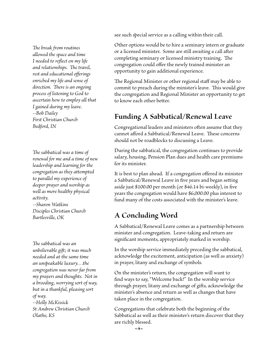see such special service as a calling within their call.

*The break from routines allowed the space and time I needed to reflect on my life and relationships. The travel, rest and educational offerings enriched my life and sense of direction. There is an ongoing process of listening to God to ascertain how to employ all that I gained during my leave. --Bob Dailey First Christian Church Bedford, IN*

*The sabbatical was a time of renewal for me and a time of new leadership and learning for the congregation as they attempted to parallel my experience of deeper prayer and worship as well as more healthy physical activity. --Sharon Watkins*

*Disciples Christian Church Bartlesville, OK*

*The sabbatical was an unbelievable gift; it was much needed and at the same time an unspeakable luxury. . .the congregation was never far from my prayers and thoughts. Not in a brooding, worrying sort of way, but in a thankful, pleasing sort of way. --Holly McKissick St Andrew Christian Church Olathe, KS*

Other options would be to hire a seminary intern or graduate or a licensed minister. Some are still awaiting a call after completing seminary or licensed ministry training. The congregation could offer the newly trained minister an opportunity to gain additional experience.

The Regional Minister or other regional staff may be able to commit to preach during the minister's leave. This would give the congregation and Regional Minister an opportunity to get to know each other better.

# **Funding A Sabbatical/Renewal Leave**

Congregational leaders and ministers often assume that they cannot afford a Sabbatical/Renewal Leave. These concerns should not be roadblocks to discussing a Leave.

During the sabbatical, the congregation continues to provide salary, housing, Pension Plan dues and health care premiums for its minister.

It is best to plan ahead. If a congregation offered its minister a Sabbatical/Renewal Leave in five years and began setting aside just \$100.00 per month (or \$46.14 bi-weekly), in five years the congregation would have \$6,000.00 plus interest to fund many of the costs associated with the minister's leave.

# **A Concluding Word**

A Sabbatical/Renewal Leave comes as a partnership between minister and congregation. Leave-taking and return are significant moments, appropriately marked in worship.

In the worship service immediately preceding the sabbatical, acknowledge the excitement, anticipation (as well as anxiety) in prayer, litany and exchange of symbols.

On the minister's return, the congregation will want to find ways to say, "Welcome back!" In the worship service through prayer, litany and exchange of gifts, acknowledge the minister's absence and return as well as changes that have taken place in the congregation.

Congregations that celebrate both the beginning of the Sabbatical as well as their minister's return discover that they are richly blessed.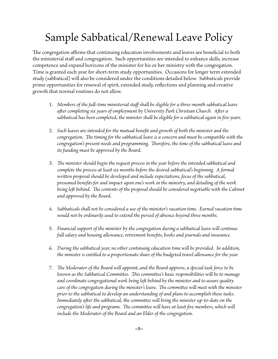# Sample Sabbatical/Renewal Leave Policy

The congregation affirms that continuing education involvements and leaves are beneficial to both the ministerial staff and congregation. Such opportunities are intended to enhance skills, increase competence and expand horizons of the minister for his or her ministry with the congregation. Time is granted each year for short-term study opportunities. Occasions for longer term extended study (sabbatical) will also be considered under the conditions detailed below. Sabbaticals provide prime opportunities for renewal of spirit, extended study, reflections and planning and creative growth that normal routines do not allow.

- 1. *Members of the full-time ministerial staff shall be eligible for a three-month sabbatical leave after completing six years of employment by University Park Christian Church. After a sabbatical has been completed, the minister shall be eligible for a sabbatical again in five years.*
- 2. *Such leaves are intended for the mutual benefit and growth of both the minister and the congregation. The timing for the sabbatical leave is a concern and must be compatible with the congregation's present needs and programming. Therefore, the time of the sabbatical leave and its funding must be approved by the Board.*
- 3. *The minister should begin the request process in the year before the intended sabbatical and complete the process at least six months before the desired sabbatical's beginning. A formal written proposal should be developed and include expectations, focus of the sabbatical, presumed benefits for and impact upon one's work in the ministry, and detailing of the work*  being left behind. The contents of the proposal should be considered negotiable with the Cabinet *and approved by the Board.*
- 4. *Sabbaticals shall not be considered a use of the minister's vacation time. Earned vacation time would not be ordinarily used to extend the period of absence beyond three months.*
- 5. *Financial support of the minister by the congregation during a sabbatical leave will continue full salary and housing allowance, retirement benefits, books and journals and insurance.*
- 6. *During the sabbatical year, no other continuing education time will be provided. In addition, the minister is entitled to a proportionate share of the budgeted travel allowance for the year.*
- 7. *The Moderator of the Board will appoint, and the Board approve, a special task force to be known as the Sabbatical Committee. This committee's basic responsibilities will be to manage and coordinate congregational work being left behind by the minister and to assure quality care of the congregation during the minister's leave. The committee will meet with the minister prior to the sabbatical to develop an understanding of and plans to accomplish those tasks. Immediately after the sabbatical, the committee will bring the minister up-to-date on the congregation's life and programs. The committee will have at least five members, which will include the Moderator of the Board and an Elder of the congregation.*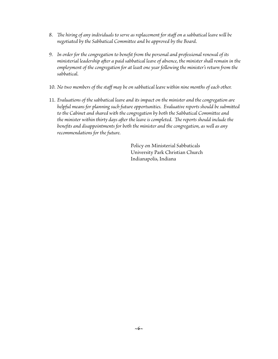- 8. *The hiring of any individuals to serve as replacement for staff on a sabbatical leave will be negotiated by the Sabbatical Committee and be approved by the Board.*
- 9. *In order for the congregation to benefit from the personal and professional renewal of its ministerial leadership after a paid sabbatical leave of absence, the minister shall remain in the employment of the congregation for at least one year following the minister's return from the sabbatical.*
- 10. *No two members of the staff may be on sabbatical leave within nine months of each other.*
- 11. *Evaluations of the sabbatical leave and its impact on the minister and the congregation are helpful means for planning such future opportunities. Evaluative reports should be submitted to the Cabinet and shared with the congregation by both the Sabbatical Committee and the minister within thirty days after the leave is completed. The reports should include the benefits and disappointments for both the minister and the congregation, as well as any recommendations for the future.*

Policy on Ministerial Sabbaticals University Park Christian Church Indianapolis, Indiana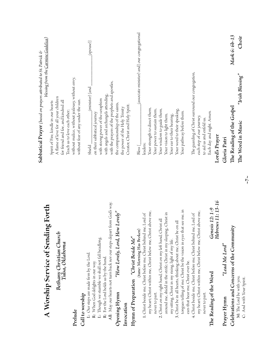|                                                                                                              | ${\bf Sabbatical~Prayer}$ (based on prayers attributed to St. Patrick $\otimes$ |  |
|--------------------------------------------------------------------------------------------------------------|---------------------------------------------------------------------------------|--|
| A Worship Service of Sending Forth                                                                           | blessing from the <u>Carmine Gadelica</u> )                                     |  |
|                                                                                                              | Spirit of Fire, kindle in our hearts                                            |  |
| Bethany Christian Church                                                                                     | A flame of love for all your children                                           |  |
| Tulsa, Oklahoma                                                                                              | for friend and foe, and kindred all                                             |  |
|                                                                                                              | Teach us to love each other;                                                    |  |
| Prelude                                                                                                      | without malice, without jealousy, without envy,                                 |  |
| Call to worship                                                                                              | without fear of any under the sun.                                              |  |
| L: Our steps are made firm by the Lord.                                                                      | [(spouse)]<br>(minister) [and<br>Shield                                         |  |
| R: When God delights in our way.                                                                             | on their sabbatical journey                                                     |  |
| L: Though we stumble we shall not fall headlong.                                                             | with strong power of the seraphim                                               |  |
| R: For the Lord holds us by the hand                                                                         | with angels and archangels attending,                                           |  |
| All: May our hearts not turn back nor our steps depart from Gods way.                                        | with the prayers of the prophets and apostles,                                  |  |
| "How Lovely, Lord, How Lovely"<br>Opening Hymn                                                               | the companionship of the saints,                                                |  |
| Invocation                                                                                                   | the power of the Holy Trinity                                                   |  |
|                                                                                                              | Creator, Christ and Holy Spirit.                                                |  |
| Hymn of Preparation "Christ Beside Me"                                                                       |                                                                                 |  |
| (tune: Morning Has Broken)                                                                                   | (associate minister) and] our congregational<br>Bless [                         |  |
| 1. Christ beside me, Christ before me, Christ behind me, Lord of                                             | leaders;                                                                        |  |
| my heart; Christ within me, Christ below me, Christ above me,                                                | Your strength to direct them,                                                   |  |
| never to part.                                                                                               | Your power to sustain them,                                                     |  |
| Christ all<br>2. Christ on my right hand, Christ on my left hand,                                            | Your wisdom to guide them,                                                      |  |
| around me, shield in the strife; Christ in my sleeping, Christ in                                            | Your vision to light them,                                                      |  |
| my sitting, Christ in my rising, light of my life.                                                           | Your ear to their hearing,                                                      |  |
| be on all<br>3. Christ be in all hearts, thinking about me, Christ                                           | Your word to their speaking,                                                    |  |
| that see me, in<br>tongues telling of me; Christ be the vision in eyes<br>ears that hear me, Christ ever be. | Your pathway before them.                                                       |  |
| 4. Christ beside me, Christ before me, Christ behind me, Lord of                                             | The guarding of Christ surround our congregation,                               |  |
| my heart; Christ within me, Christ below me, Christ above me,                                                | each step of our journey,                                                       |  |
| never to part.                                                                                               | to aid us and enfold us,                                                        |  |
| Genesis 12: 1-9<br>The Reading of the Word                                                                   | Each day and night. Amen.                                                       |  |
| Hebrews 11: 13-16                                                                                            | Lord's Prayer                                                                   |  |
| "Lead Me Lord"<br>Prayer Hymn                                                                                | Gloria Patri                                                                    |  |
| Celebrations and Concerns of the Community                                                                   | Mark 6: 6b-13<br>The Reading of the Gospel                                      |  |
| M: The Lord be with you.                                                                                     | Choir<br>"Irish Blessing"<br>The Word in Music                                  |  |
| $\sim$ 7 $\sim$<br>C: And with Your Spirit.                                                                  |                                                                                 |  |

**~7~**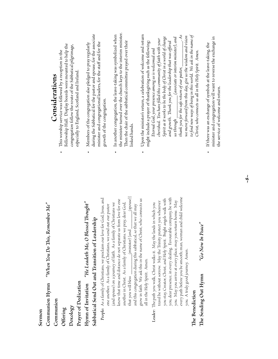# **Sermon**

"When You Do This, Remember  $Me$ " **Communion Hymn** *"When You Do This, Remember Me"* Communion Hymn

Communion **Communion**

**Offering**

**Doxology**

Prayer of Dedication **Prayer of Dedication**

Hymn of Invitation "He Leadeth Me, O Blessed Thought" **Hymn of Invitation** *"He Leadeth Me, O Blessed Thought"* Sabbatical Send Out and Transition of Leadership **Sabbatical Send Out and Transition of Leadership**

# People: As a family of Christians, we proclaim our love for God, Jesus, and

that you will bless \_\_\_\_\_\_\_\_\_\_(minister) [and \_\_\_\_\_\_\_\_(spouse)] (spouse) **People:** As a family of Christians, we proclaim our love for God, Jesus, and grow in faith. We ask this in the name of Christ, who connects us grow in faith. We ask this in the name of Christ, who connects us know that time and distance do not separate us from love for one know that time and distance do not separate us from love for one (and spouse) on a journey of faith. As a family of Christians we (and spouse) on a journey of faith. As a family of Christians we another in Christ. As a family of Christians, we pray, dear God, another in Christ. As a family of Christians, we pray, dear God, one another. As a family of Christians, we send out our pastor and this congregation during this sabbatical, so that we all may and this congregation during this sabbatical, so that we all may one another. As a family of Christians, we send out our pastor (minister) [and all in the Holy Spirit. Amen. all in the Holy Spirit. Amen. that you will bless

every path before you be smooth; man, woman and child welcome every path before you be smooth; man, woman and child welcome you, dear presence, in every dealing. Favourable company, be with you, dear presence, in every dealing. Favourable company, be with you stay, Creator, Christ, and Holy Spirit. Bright angels walk with you stay, Creator, Christ, and Holy Spirit. Bright angels walk with you. May you arrive at every place, may you return home. May you. May you arrive at every place, may you return home. May travel be without sorrow. May the Trinity protect you wherever travel be without sorrow. May the Trinity protect you wherever The path you walk, Christ walks it. May the lands in which you **Leader:** The path you walk, Christ walks it. May the lands in which you you. A truly good journey. Amen. you. A truly good journey. Amen. Leader:

# The Benediction **The Benediction**

"Go Now In Peace" **The Sending Out Hymn** *"Go Now In Peace"* The Sending Out Hymn

# Considerations **Considerations**

- Fellowship Hall. Display boards were mounted to help the Fellowship Hall. Display boards were mounted to help the congregation follow the route of the Sabbatical pilgrimage, congregation follow the route of the Sabbatical pilgrimage, This worship service was followed by a reception in the • This worship service was followed by a reception in the especially to England, Scotland and Ireland. especially to England, Scotland and Ireland.
- during the Sabbatical for the pastor and spouse, for the associate during the Sabbatical for the pastor and spouse, for the associate minister and congregational leaders, for the staff and for the minister and congregational leaders, for the staff and for the Members of the congregation also pledged to pray regularly  $\bullet$  Members of the congregation also pledged to pray regularly growth of the congregation. growth of the congregation.  $\ddot{\phantom{0}}$
- the minister turned over the church keys to the interim minister. the minister turned over the church keys to the interim minister. In another congregation, the leave-taking was symbolized when  $\bullet$  In another congregation, the leave-taking was symbolized when Then the chair of the sabbatical committee prayed over their Then the chair of the sabbatical committee prayed over their linked hands. linked hands.  $\ddot{\phantom{0}}$
- Upon the minister's return, a celebration of welcome and return *thank you for the safe return of our pastor, \_\_\_\_\_\_\_\_\_\_. As*   $\bullet\quad$  Upon the minister's return, a celebration of welcome and return *we move forward from this day, give us the wisdom and vision*  to find new ways of being in this world. We ask in the name of *to find new ways of being in this world. We ask in the name of*  we move forward from this day, give us the wisdom and vision *Spirit as it works to be the body of Christ in a world of change us through \_\_\_\_\_\_\_\_\_ (associate or interim minister), and*  Spirit as it works to be the body of Christ in a world of change (associate or interim minister), and cherished. You have filled this community of faith with your *cherished. You have filled this community of faith with your*  might include a prayer of thanksgiving such as the following: and growth. Thank you for the leadership that was offered *and growth. Thank you for the leadership that was offered*  might include a prayer of thanksgiving such as the following: Eternal God, your presence among us is welcomed and *Eternal God, your presence among us is welcomed and Christ, who connects us all in the Holy Spirit. Amen.*  Christ, who connects us all in the Holy Spirit. Amen. thank you for the safe return of our pastor, \_ us through
- minister and congregation will want to reverse the exchange in minister and congregation will want to reverse the exchange in If there was an exchange of symbols at the leave-taking, the  $\bullet\quad$  If there was an exchange of symbols at the leave-taking, the the service of welcome and return. the service of welcome and return.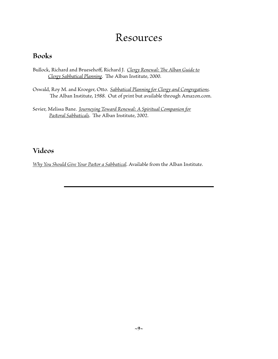# Resources

### **Books**

- Bullock, Richard and Bruesehoff, Richard J. *Clergy Renewal: The Alban Guide to Clergy Sabbatical Planning*. The Alban Institute, 2000.
- Oswald, Roy M. and Kroeger, Otto. *Sabbatical Planning for Clergy and Congregations*. The Alban Institute, 1988. Out of print but available through Amazon.com.
- Sevier, Melissa Bane. *Journeying Toward Renewal: A Spiritual Companion for Pastoral Sabbaticals*. The Alban Institute, 2002.

### **Videos**

*Why You Should Give Your Pastor a Sabbatical*. Available from the Alban Institute.